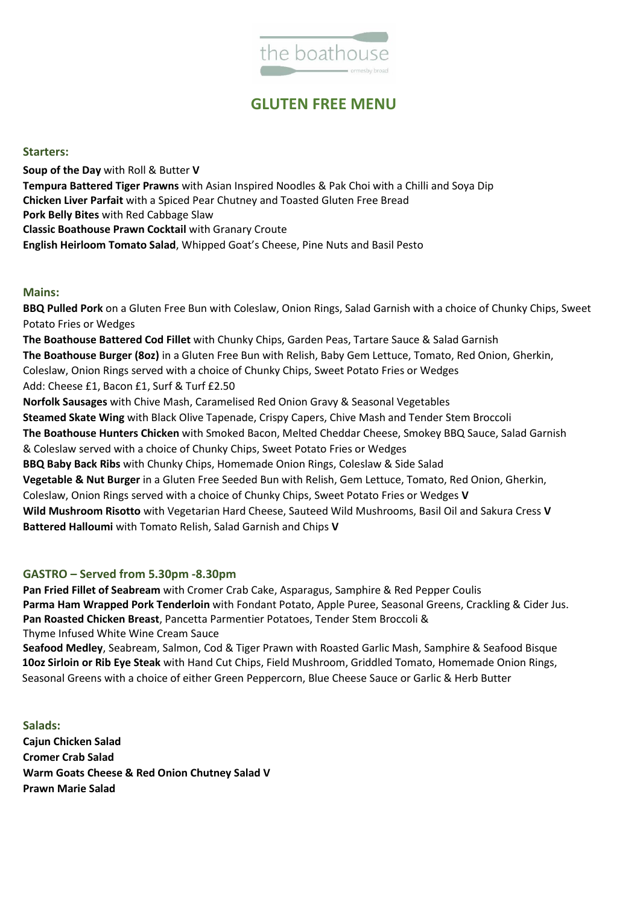

# **GLUTEN FREE MENU**

#### **Starters:**

**Soup of the Day** with Roll & Butter **V Tempura Battered Tiger Prawns** with Asian Inspired Noodles & Pak Choi with a Chilli and Soya Dip **Chicken Liver Parfait** with a Spiced Pear Chutney and Toasted Gluten Free Bread **Pork Belly Bites** with Red Cabbage Slaw **Classic Boathouse Prawn Cocktail** with Granary Croute **English Heirloom Tomato Salad**, Whipped Goat's Cheese, Pine Nuts and Basil Pesto

#### **Mains:**

**BBQ Pulled Pork** on a Gluten Free Bun with Coleslaw, Onion Rings, Salad Garnish with a choice of Chunky Chips, Sweet Potato Fries or Wedges

**The Boathouse Battered Cod Fillet** with Chunky Chips, Garden Peas, Tartare Sauce & Salad Garnish **The Boathouse Burger (8oz)** in a Gluten Free Bun with Relish, Baby Gem Lettuce, Tomato, Red Onion, Gherkin, Coleslaw, Onion Rings served with a choice of Chunky Chips, Sweet Potato Fries or Wedges Add: Cheese £1, Bacon £1, Surf & Turf £2.50 **Norfolk Sausages** with Chive Mash, Caramelised Red Onion Gravy & Seasonal Vegetables **Steamed Skate Wing** with Black Olive Tapenade, Crispy Capers, Chive Mash and Tender Stem Broccoli **The Boathouse Hunters Chicken** with Smoked Bacon, Melted Cheddar Cheese, Smokey BBQ Sauce, Salad Garnish & Coleslaw served with a choice of Chunky Chips, Sweet Potato Fries or Wedges **BBQ Baby Back Ribs** with Chunky Chips, Homemade Onion Rings, Coleslaw & Side Salad **Vegetable & Nut Burger** in a Gluten Free Seeded Bun with Relish, Gem Lettuce, Tomato, Red Onion, Gherkin, Coleslaw, Onion Rings served with a choice of Chunky Chips, Sweet Potato Fries or Wedges **V Wild Mushroom Risotto** with Vegetarian Hard Cheese, Sauteed Wild Mushrooms, Basil Oil and Sakura Cress **V Battered Halloumi** with Tomato Relish, Salad Garnish and Chips **V**

### **GASTRO – Served from 5.30pm -8.30pm**

**Pan Fried Fillet of Seabream** with Cromer Crab Cake, Asparagus, Samphire & Red Pepper Coulis **Parma Ham Wrapped Pork Tenderloin** with Fondant Potato, Apple Puree, Seasonal Greens, Crackling & Cider Jus. **Pan Roasted Chicken Breast**, Pancetta Parmentier Potatoes, Tender Stem Broccoli & Thyme Infused White Wine Cream Sauce

**Seafood Medley**, Seabream, Salmon, Cod & Tiger Prawn with Roasted Garlic Mash, Samphire & Seafood Bisque **10oz Sirloin or Rib Eye Steak** with Hand Cut Chips, Field Mushroom, Griddled Tomato, Homemade Onion Rings, Seasonal Greens with a choice of either Green Peppercorn, Blue Cheese Sauce or Garlic & Herb Butter

**Salads: Cajun Chicken Salad Cromer Crab Salad Warm Goats Cheese & Red Onion Chutney Salad V Prawn Marie Salad**